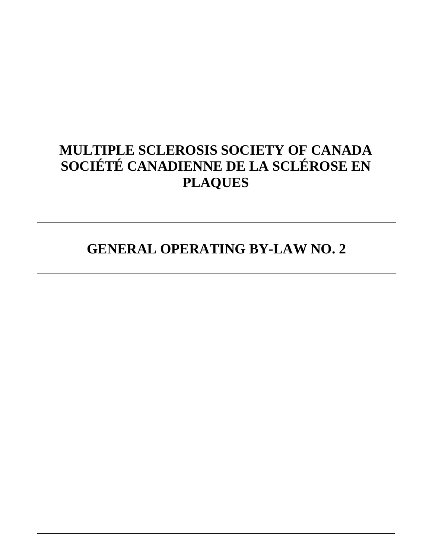# **MULTIPLE SCLEROSIS SOCIETY OF CANADA SOCIÉTÉ CANADIENNE DE LA SCLÉROSE EN PLAQUES**

**GENERAL OPERATING BY-LAW NO. 2**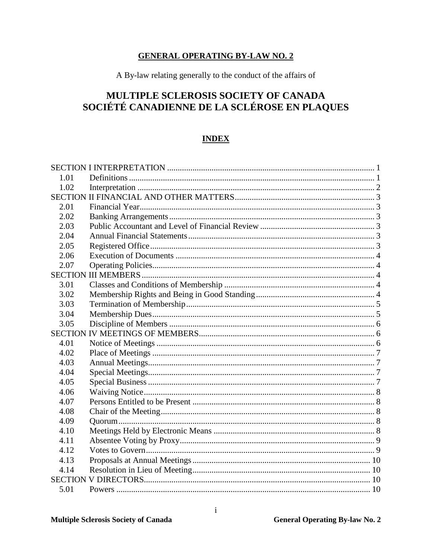# **GENERAL OPERATING BY-LAW NO. 2**

A By-law relating generally to the conduct of the affairs of

# MULTIPLE SCLEROSIS SOCIETY OF CANADA SOCIÉTÉ CANADIENNE DE LA SCLÉROSE EN PLAQUES

# **INDEX**

| 1.01 |  |
|------|--|
| 1.02 |  |
|      |  |
| 2.01 |  |
| 2.02 |  |
| 2.03 |  |
| 2.04 |  |
| 2.05 |  |
| 2.06 |  |
| 2.07 |  |
|      |  |
| 3.01 |  |
| 3.02 |  |
| 3.03 |  |
| 3.04 |  |
| 3.05 |  |
|      |  |
| 4.01 |  |
| 4.02 |  |
| 4.03 |  |
| 4.04 |  |
| 4.05 |  |
| 4.06 |  |
| 4.07 |  |
| 4.08 |  |
| 4.09 |  |
| 4.10 |  |
| 4.11 |  |
| 4.12 |  |
| 4.13 |  |
| 4.14 |  |
|      |  |
| 5.01 |  |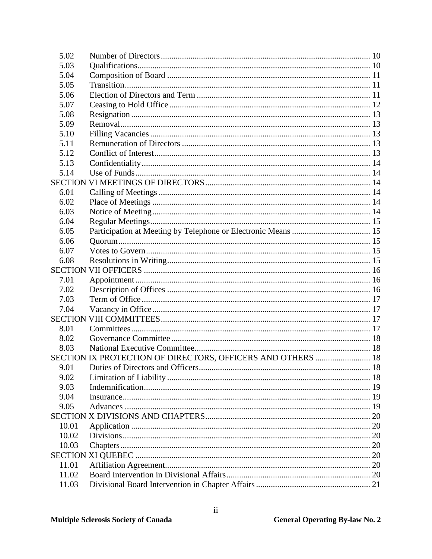| 5.02  |                                                             |  |
|-------|-------------------------------------------------------------|--|
| 5.03  |                                                             |  |
| 5.04  |                                                             |  |
| 5.05  |                                                             |  |
| 5.06  |                                                             |  |
| 5.07  |                                                             |  |
| 5.08  |                                                             |  |
| 5.09  |                                                             |  |
| 5.10  |                                                             |  |
| 5.11  |                                                             |  |
| 5.12  |                                                             |  |
| 5.13  |                                                             |  |
| 5.14  |                                                             |  |
|       |                                                             |  |
| 6.01  |                                                             |  |
| 6.02  |                                                             |  |
| 6.03  |                                                             |  |
| 6.04  |                                                             |  |
| 6.05  |                                                             |  |
| 6.06  |                                                             |  |
| 6.07  |                                                             |  |
| 6.08  |                                                             |  |
|       |                                                             |  |
| 7.01  |                                                             |  |
| 7.02  |                                                             |  |
| 7.03  |                                                             |  |
| 7.04  |                                                             |  |
|       |                                                             |  |
| 8.01  |                                                             |  |
| 8.02  |                                                             |  |
| 8.03  |                                                             |  |
|       | SECTION IX PROTECTION OF DIRECTORS, OFFICERS AND OTHERS  18 |  |
| 9.01  |                                                             |  |
| 9.02  |                                                             |  |
| 9.03  |                                                             |  |
| 9.04  |                                                             |  |
| 9.05  |                                                             |  |
|       |                                                             |  |
| 10.01 |                                                             |  |
| 10.02 |                                                             |  |
| 10.03 |                                                             |  |
|       |                                                             |  |
| 11.01 |                                                             |  |
| 11.02 |                                                             |  |
| 11.03 |                                                             |  |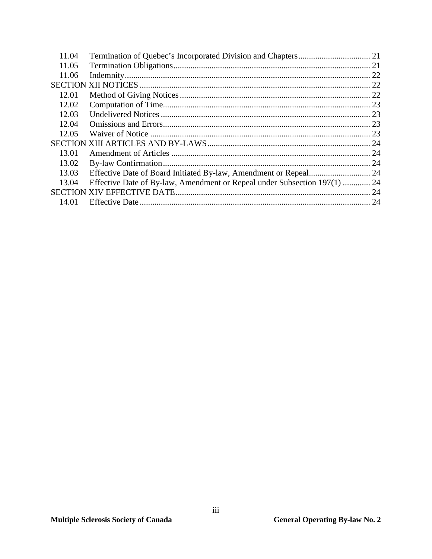|                                                                           | . 22                                                             |
|---------------------------------------------------------------------------|------------------------------------------------------------------|
|                                                                           |                                                                  |
|                                                                           |                                                                  |
|                                                                           |                                                                  |
|                                                                           |                                                                  |
|                                                                           |                                                                  |
|                                                                           |                                                                  |
|                                                                           |                                                                  |
|                                                                           |                                                                  |
|                                                                           | 24                                                               |
|                                                                           |                                                                  |
| Effective Date of By-law, Amendment or Repeal under Subsection 197(1)  24 |                                                                  |
|                                                                           | 24                                                               |
|                                                                           |                                                                  |
|                                                                           | Effective Date of Board Initiated By-law, Amendment or Repeal 24 |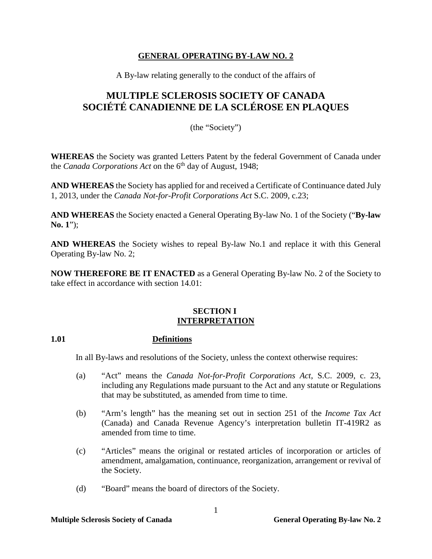# **GENERAL OPERATING BY-LAW NO. 2**

A By-law relating generally to the conduct of the affairs of

# **MULTIPLE SCLEROSIS SOCIETY OF CANADA SOCIÉTÉ CANADIENNE DE LA SCLÉROSE EN PLAQUES**

(the "Society")

**WHEREAS** the Society was granted Letters Patent by the federal Government of Canada under the *Canada Corporations Act* on the 6<sup>th</sup> day of August, 1948;

**AND WHEREAS** the Society has applied for and received a Certificate of Continuance dated July 1, 2013, under the *Canada Not-for-Profit Corporations Act* S.C. 2009, c.23;

**AND WHEREAS** the Society enacted a General Operating By-law No. 1 of the Society ("**By-law No. 1**");

**AND WHEREAS** the Society wishes to repeal By-law No.1 and replace it with this General Operating By-law No. 2;

**NOW THEREFORE BE IT ENACTED** as a General Operating By-law No. 2 of the Society to take effect in accordance with section 14.01:

### **SECTION I INTERPRETATION**

# <span id="page-4-1"></span><span id="page-4-0"></span>**1.01 Definitions**

In all By-laws and resolutions of the Society, unless the context otherwise requires:

- (a) "Act" means the *Canada Not-for-Profit Corporations Act*, S.C. 2009, c. 23, including any Regulations made pursuant to the Act and any statute or Regulations that may be substituted, as amended from time to time.
- (b) "Arm's length" has the meaning set out in section 251 of the *Income Tax Act*  (Canada) and Canada Revenue Agency's interpretation bulletin IT-419R2 as amended from time to time.
- (c) "Articles" means the original or restated articles of incorporation or articles of amendment, amalgamation, continuance, reorganization, arrangement or revival of the Society.
- (d) "Board" means the board of directors of the Society.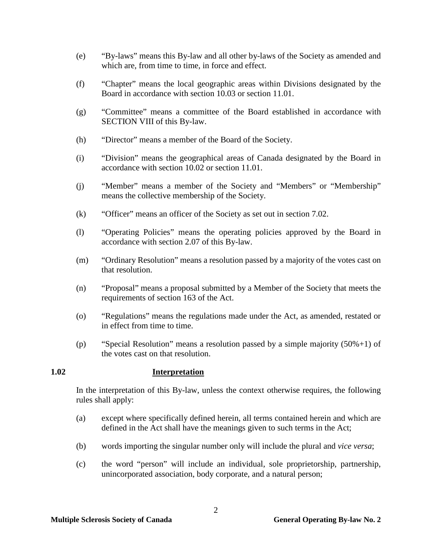- (e) "By-laws" means this By-law and all other by-laws of the Society as amended and which are, from time to time, in force and effect.
- (f) "Chapter" means the local geographic areas within Divisions designated by the Board in accordance with section [10.03](#page-23-3) or section 11.01.
- (g) "Committee" means a committee of the Board established in accordance with SECTION VIII of this By-law.
- (h) "Director" means a member of the Board of the Society.
- (i) "Division" means the geographical areas of Canada designated by the Board in accordance with section [10.02](#page-23-2) or section 11.01.
- (j) "Member" means a member of the Society and "Members" or "Membership" means the collective membership of the Society.
- (k) "Officer" means an officer of the Society as set out in section [7.02.](#page-19-2)
- (l) "Operating Policies" means the operating policies approved by the Board in accordance with section 2.07 of this By-law.
- (m) "Ordinary Resolution" means a resolution passed by a majority of the votes cast on that resolution.
- (n) "Proposal" means a proposal submitted by a Member of the Society that meets the requirements of section 163 of the Act.
- (o) "Regulations" means the regulations made under the Act, as amended, restated or in effect from time to time.
- (p) "Special Resolution" means a resolution passed by a simple majority (50%+1) of the votes cast on that resolution.

### <span id="page-5-0"></span>**1.02 Interpretation**

In the interpretation of this By-law, unless the context otherwise requires, the following rules shall apply:

- (a) except where specifically defined herein, all terms contained herein and which are defined in the Act shall have the meanings given to such terms in the Act;
- (b) words importing the singular number only will include the plural and *vice versa*;
- (c) the word "person" will include an individual, sole proprietorship, partnership, unincorporated association, body corporate, and a natural person;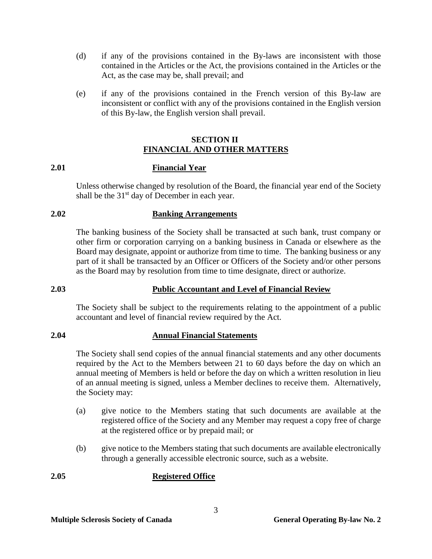- (d) if any of the provisions contained in the By-laws are inconsistent with those contained in the Articles or the Act, the provisions contained in the Articles or the Act, as the case may be, shall prevail; and
- (e) if any of the provisions contained in the French version of this By-law are inconsistent or conflict with any of the provisions contained in the English version of this By-law, the English version shall prevail.

# **SECTION II FINANCIAL AND OTHER MATTERS**

### <span id="page-6-1"></span><span id="page-6-0"></span>**2.01 Financial Year**

Unless otherwise changed by resolution of the Board, the financial year end of the Society shall be the  $31<sup>st</sup>$  day of December in each year.

# <span id="page-6-2"></span>**2.02 Banking Arrangements**

The banking business of the Society shall be transacted at such bank, trust company or other firm or corporation carrying on a banking business in Canada or elsewhere as the Board may designate, appoint or authorize from time to time. The banking business or any part of it shall be transacted by an Officer or Officers of the Society and/or other persons as the Board may by resolution from time to time designate, direct or authorize.

# <span id="page-6-3"></span>**2.03 Public Accountant and Level of Financial Review**

The Society shall be subject to the requirements relating to the appointment of a public accountant and level of financial review required by the Act.

# <span id="page-6-4"></span>**2.04 Annual Financial Statements**

The Society shall send copies of the annual financial statements and any other documents required by the Act to the Members between 21 to 60 days before the day on which an annual meeting of Members is held or before the day on which a written resolution in lieu of an annual meeting is signed, unless a Member declines to receive them. Alternatively, the Society may:

- (a) give notice to the Members stating that such documents are available at the registered office of the Society and any Member may request a copy free of charge at the registered office or by prepaid mail; or
- (b) give notice to the Members stating that such documents are available electronically through a generally accessible electronic source, such as a website.

# <span id="page-6-5"></span>**2.05 Registered Office**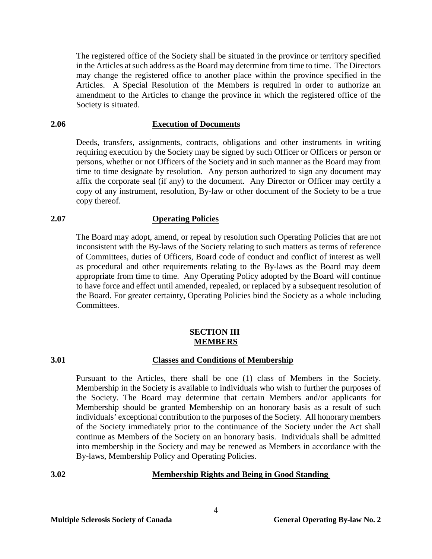The registered office of the Society shall be situated in the province or territory specified in the Articles at such address as the Board may determine from time to time. The Directors may change the registered office to another place within the province specified in the Articles. A Special Resolution of the Members is required in order to authorize an amendment to the Articles to change the province in which the registered office of the Society is situated.

### <span id="page-7-0"></span>**2.06 Execution of Documents**

Deeds, transfers, assignments, contracts, obligations and other instruments in writing requiring execution by the Society may be signed by such Officer or Officers or person or persons, whether or not Officers of the Society and in such manner as the Board may from time to time designate by resolution. Any person authorized to sign any document may affix the corporate seal (if any) to the document. Any Director or Officer may certify a copy of any instrument, resolution, By-law or other document of the Society to be a true copy thereof.

#### <span id="page-7-1"></span>**2.07 Operating Policies**

The Board may adopt, amend, or repeal by resolution such Operating Policies that are not inconsistent with the By-laws of the Society relating to such matters as terms of reference of Committees, duties of Officers, Board code of conduct and conflict of interest as well as procedural and other requirements relating to the By-laws as the Board may deem appropriate from time to time. Any Operating Policy adopted by the Board will continue to have force and effect until amended, repealed, or replaced by a subsequent resolution of the Board. For greater certainty, Operating Policies bind the Society as a whole including Committees.

### **SECTION III MEMBERS**

#### <span id="page-7-3"></span><span id="page-7-2"></span>**3.01 Classes and Conditions of Membership**

Pursuant to the Articles, there shall be one (1) class of Members in the Society. Membership in the Society is available to individuals who wish to further the purposes of the Society. The Board may determine that certain Members and/or applicants for Membership should be granted Membership on an honorary basis as a result of such individuals' exceptional contribution to the purposes of the Society. All honorary members of the Society immediately prior to the continuance of the Society under the Act shall continue as Members of the Society on an honorary basis. Individuals shall be admitted into membership in the Society and may be renewed as Members in accordance with the By-laws, Membership Policy and Operating Policies.

# <span id="page-7-4"></span>**3.02 Membership Rights and Being in Good Standing**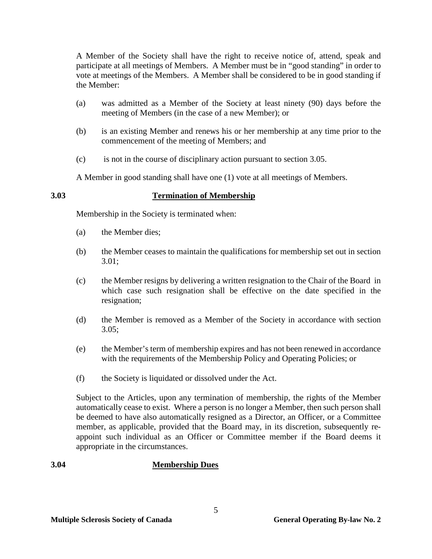A Member of the Society shall have the right to receive notice of, attend, speak and participate at all meetings of Members. A Member must be in "good standing" in order to vote at meetings of the Members. A Member shall be considered to be in good standing if the Member:

- (a) was admitted as a Member of the Society at least ninety (90) days before the meeting of Members (in the case of a new Member); or
- (b) is an existing Member and renews his or her membership at any time prior to the commencement of the meeting of Members; and
- (c) is not in the course of disciplinary action pursuant to section 3.05.

A Member in good standing shall have one (1) vote at all meetings of Members.

# <span id="page-8-0"></span>**3.03 Termination of Membership**

Membership in the Society is terminated when:

- (a) the Member dies;
- (b) the Member ceases to maintain the qualifications for membership set out in section 3.01;
- (c) the Member resigns by delivering a written resignation to the Chair of the Board in which case such resignation shall be effective on the date specified in the resignation;
- (d) the Member is removed as a Member of the Society in accordance with section 3.05;
- (e) the Member's term of membership expires and has not been renewed in accordance with the requirements of the Membership Policy and Operating Policies; or
- (f) the Society is liquidated or dissolved under the Act.

Subject to the Articles, upon any termination of membership, the rights of the Member automatically cease to exist. Where a person is no longer a Member, then such person shall be deemed to have also automatically resigned as a Director, an Officer, or a Committee member, as applicable, provided that the Board may, in its discretion, subsequently reappoint such individual as an Officer or Committee member if the Board deems it appropriate in the circumstances.

# <span id="page-8-1"></span>**3.04 Membership Dues**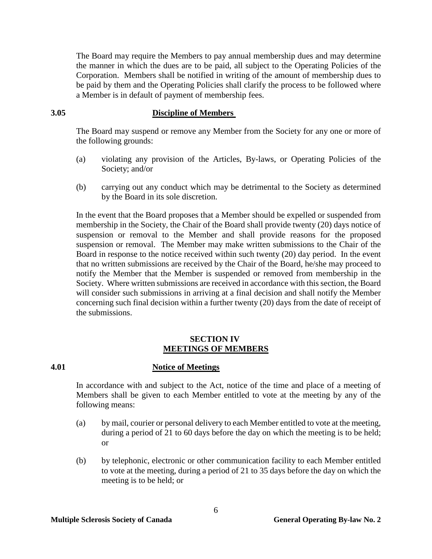The Board may require the Members to pay annual membership dues and may determine the manner in which the dues are to be paid, all subject to the Operating Policies of the Corporation. Members shall be notified in writing of the amount of membership dues to be paid by them and the Operating Policies shall clarify the process to be followed where a Member is in default of payment of membership fees.

### <span id="page-9-0"></span>**3.05 Discipline of Members**

The Board may suspend or remove any Member from the Society for any one or more of the following grounds:

- (a) violating any provision of the Articles, By-laws, or Operating Policies of the Society; and/or
- (b) carrying out any conduct which may be detrimental to the Society as determined by the Board in its sole discretion.

In the event that the Board proposes that a Member should be expelled or suspended from membership in the Society, the Chair of the Board shall provide twenty (20) days notice of suspension or removal to the Member and shall provide reasons for the proposed suspension or removal. The Member may make written submissions to the Chair of the Board in response to the notice received within such twenty (20) day period. In the event that no written submissions are received by the Chair of the Board, he/she may proceed to notify the Member that the Member is suspended or removed from membership in the Society. Where written submissions are received in accordance with this section, the Board will consider such submissions in arriving at a final decision and shall notify the Member concerning such final decision within a further twenty (20) days from the date of receipt of the submissions.

#### **SECTION IV MEETINGS OF MEMBERS**

### <span id="page-9-2"></span><span id="page-9-1"></span>**4.01 Notice of Meetings**

In accordance with and subject to the Act, notice of the time and place of a meeting of Members shall be given to each Member entitled to vote at the meeting by any of the following means:

- <span id="page-9-4"></span>(a) by mail, courier or personal delivery to each Member entitled to vote at the meeting, during a period of 21 to 60 days before the day on which the meeting is to be held; or
- <span id="page-9-3"></span>(b) by telephonic, electronic or other communication facility to each Member entitled to vote at the meeting, during a period of 21 to 35 days before the day on which the meeting is to be held; or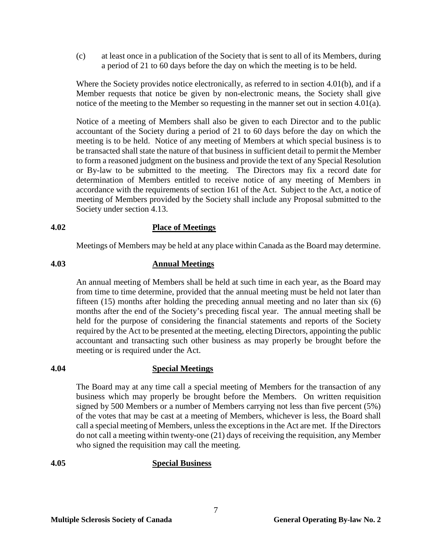(c) at least once in a publication of the Society that is sent to all of its Members, during a period of 21 to 60 days before the day on which the meeting is to be held.

Where the Society provides notice electronically, as referred to in section [4.01](#page-9-2)[\(b\),](#page-9-3) and if a Member requests that notice be given by non-electronic means, the Society shall give notice of the meeting to the Member so requesting in the manner set out in section [4.01](#page-9-2)[\(a\).](#page-9-4)

Notice of a meeting of Members shall also be given to each Director and to the public accountant of the Society during a period of 21 to 60 days before the day on which the meeting is to be held. Notice of any meeting of Members at which special business is to be transacted shall state the nature of that business in sufficient detail to permit the Member to form a reasoned judgment on the business and provide the text of any Special Resolution or By-law to be submitted to the meeting. The Directors may fix a record date for determination of Members entitled to receive notice of any meeting of Members in accordance with the requirements of section 161 of the Act. Subject to the Act, a notice of meeting of Members provided by the Society shall include any Proposal submitted to the Society under section 4.13.

# <span id="page-10-0"></span>**4.02 Place of Meetings**

Meetings of Members may be held at any place within Canada as the Board may determine.

### <span id="page-10-1"></span>**4.03 Annual Meetings**

An annual meeting of Members shall be held at such time in each year, as the Board may from time to time determine, provided that the annual meeting must be held not later than fifteen (15) months after holding the preceding annual meeting and no later than six (6) months after the end of the Society's preceding fiscal year. The annual meeting shall be held for the purpose of considering the financial statements and reports of the Society required by the Act to be presented at the meeting, electing Directors, appointing the public accountant and transacting such other business as may properly be brought before the meeting or is required under the Act.

### <span id="page-10-2"></span>**4.04 Special Meetings**

The Board may at any time call a special meeting of Members for the transaction of any business which may properly be brought before the Members. On written requisition signed by 500 Members or a number of Members carrying not less than five percent (5%) of the votes that may be cast at a meeting of Members, whichever is less, the Board shall call a special meeting of Members, unless the exceptions in the Act are met. If the Directors do not call a meeting within twenty-one (21) days of receiving the requisition, any Member who signed the requisition may call the meeting.

# <span id="page-10-3"></span>**4.05 Special Business**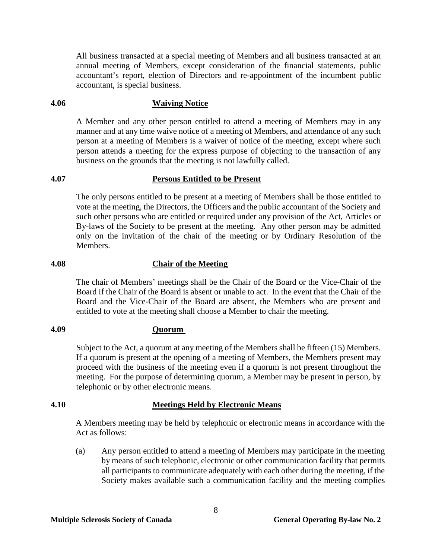All business transacted at a special meeting of Members and all business transacted at an annual meeting of Members, except consideration of the financial statements, public accountant's report, election of Directors and re-appointment of the incumbent public accountant, is special business.

#### <span id="page-11-0"></span>**4.06 Waiving Notice**

A Member and any other person entitled to attend a meeting of Members may in any manner and at any time waive notice of a meeting of Members, and attendance of any such person at a meeting of Members is a waiver of notice of the meeting, except where such person attends a meeting for the express purpose of objecting to the transaction of any business on the grounds that the meeting is not lawfully called.

# <span id="page-11-1"></span>**4.07 Persons Entitled to be Present**

The only persons entitled to be present at a meeting of Members shall be those entitled to vote at the meeting, the Directors, the Officers and the public accountant of the Society and such other persons who are entitled or required under any provision of the Act, Articles or By-laws of the Society to be present at the meeting. Any other person may be admitted only on the invitation of the chair of the meeting or by Ordinary Resolution of the Members.

### <span id="page-11-2"></span>**4.08 Chair of the Meeting**

The chair of Members' meetings shall be the Chair of the Board or the Vice-Chair of the Board if the Chair of the Board is absent or unable to act. In the event that the Chair of the Board and the Vice-Chair of the Board are absent, the Members who are present and entitled to vote at the meeting shall choose a Member to chair the meeting.

### <span id="page-11-3"></span>**4.09 Quorum**

Subject to the Act, a quorum at any meeting of the Members shall be fifteen (15) Members. If a quorum is present at the opening of a meeting of Members, the Members present may proceed with the business of the meeting even if a quorum is not present throughout the meeting. For the purpose of determining quorum, a Member may be present in person, by telephonic or by other electronic means.

### <span id="page-11-4"></span>**4.10 Meetings Held by Electronic Means**

A Members meeting may be held by telephonic or electronic means in accordance with the Act as follows:

(a) Any person entitled to attend a meeting of Members may participate in the meeting by means of such telephonic, electronic or other communication facility that permits all participants to communicate adequately with each other during the meeting, if the Society makes available such a communication facility and the meeting complies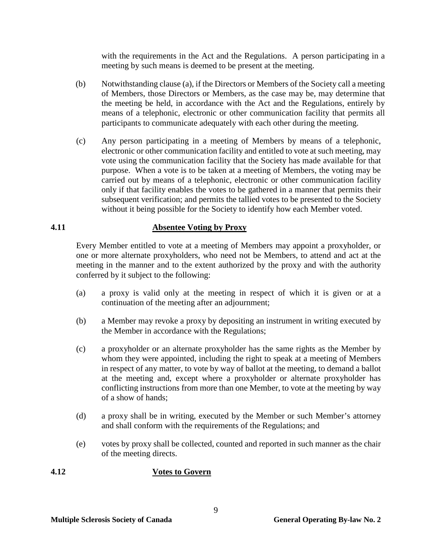with the requirements in the Act and the Regulations. A person participating in a meeting by such means is deemed to be present at the meeting.

- (b) Notwithstanding clause (a), if the Directors or Members of the Society call a meeting of Members, those Directors or Members, as the case may be, may determine that the meeting be held, in accordance with the Act and the Regulations, entirely by means of a telephonic, electronic or other communication facility that permits all participants to communicate adequately with each other during the meeting.
- (c) Any person participating in a meeting of Members by means of a telephonic, electronic or other communication facility and entitled to vote at such meeting, may vote using the communication facility that the Society has made available for that purpose. When a vote is to be taken at a meeting of Members, the voting may be carried out by means of a telephonic, electronic or other communication facility only if that facility enables the votes to be gathered in a manner that permits their subsequent verification; and permits the tallied votes to be presented to the Society without it being possible for the Society to identify how each Member voted.

# <span id="page-12-0"></span>**4.11 Absentee Voting by Proxy**

Every Member entitled to vote at a meeting of Members may appoint a proxyholder, or one or more alternate proxyholders, who need not be Members, to attend and act at the meeting in the manner and to the extent authorized by the proxy and with the authority conferred by it subject to the following:

- (a) a proxy is valid only at the meeting in respect of which it is given or at a continuation of the meeting after an adjournment;
- (b) a Member may revoke a proxy by depositing an instrument in writing executed by the Member in accordance with the Regulations;
- (c) a proxyholder or an alternate proxyholder has the same rights as the Member by whom they were appointed, including the right to speak at a meeting of Members in respect of any matter, to vote by way of ballot at the meeting, to demand a ballot at the meeting and, except where a proxyholder or alternate proxyholder has conflicting instructions from more than one Member, to vote at the meeting by way of a show of hands;
- (d) a proxy shall be in writing, executed by the Member or such Member's attorney and shall conform with the requirements of the Regulations; and
- (e) votes by proxy shall be collected, counted and reported in such manner as the chair of the meeting directs.

# <span id="page-12-1"></span>**4.12 Votes to Govern**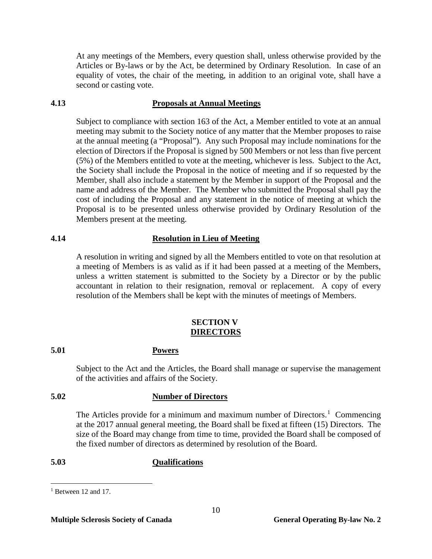At any meetings of the Members, every question shall, unless otherwise provided by the Articles or By-laws or by the Act, be determined by Ordinary Resolution. In case of an equality of votes, the chair of the meeting, in addition to an original vote, shall have a second or casting vote.

# <span id="page-13-0"></span>**4.13 Proposals at Annual Meetings**

Subject to compliance with section 163 of the Act, a Member entitled to vote at an annual meeting may submit to the Society notice of any matter that the Member proposes to raise at the annual meeting (a "Proposal"). Any such Proposal may include nominations for the election of Directors if the Proposal is signed by 500 Members or not less than five percent (5%) of the Members entitled to vote at the meeting, whichever is less. Subject to the Act, the Society shall include the Proposal in the notice of meeting and if so requested by the Member, shall also include a statement by the Member in support of the Proposal and the name and address of the Member. The Member who submitted the Proposal shall pay the cost of including the Proposal and any statement in the notice of meeting at which the Proposal is to be presented unless otherwise provided by Ordinary Resolution of the Members present at the meeting.

# <span id="page-13-1"></span>**4.14 Resolution in Lieu of Meeting**

A resolution in writing and signed by all the Members entitled to vote on that resolution at a meeting of Members is as valid as if it had been passed at a meeting of the Members, unless a written statement is submitted to the Society by a Director or by the public accountant in relation to their resignation, removal or replacement. A copy of every resolution of the Members shall be kept with the minutes of meetings of Members.

# **SECTION V DIRECTORS**

# <span id="page-13-3"></span><span id="page-13-2"></span>**5.01 Powers**

Subject to the Act and the Articles, the Board shall manage or supervise the management of the activities and affairs of the Society.

# <span id="page-13-4"></span>**5.02 Number of Directors**

The Articles provide for a minimum and maximum number of Directors.<sup>[1](#page-13-6)</sup> Commencing at the 2017 annual general meeting, the Board shall be fixed at fifteen (15) Directors. The size of the Board may change from time to time, provided the Board shall be composed of the fixed number of directors as determined by resolution of the Board.

# <span id="page-13-5"></span>**5.03 Qualifications**

<span id="page-13-6"></span> <sup>1</sup> Between 12 and 17.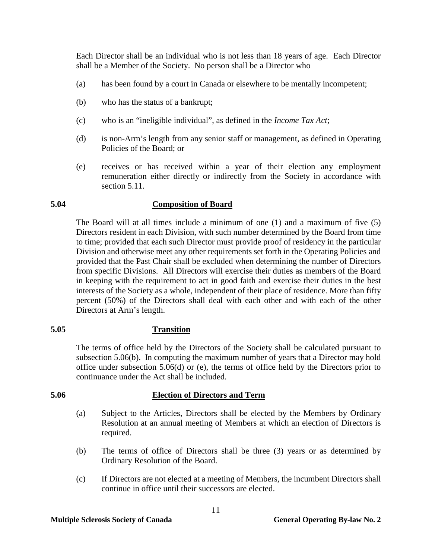Each Director shall be an individual who is not less than 18 years of age. Each Director shall be a Member of the Society. No person shall be a Director who

- (a) has been found by a court in Canada or elsewhere to be mentally incompetent;
- (b) who has the status of a bankrupt;
- (c) who is an "ineligible individual", as defined in the *Income Tax Act*;
- (d) is non-Arm's length from any senior staff or management, as defined in Operating Policies of the Board; or
- (e) receives or has received within a year of their election any employment remuneration either directly or indirectly from the Society in accordance with section 5.11.

# <span id="page-14-0"></span>**5.04 Composition of Board**

The Board will at all times include a minimum of one (1) and a maximum of five (5) Directors resident in each Division, with such number determined by the Board from time to time; provided that each such Director must provide proof of residency in the particular Division and otherwise meet any other requirements set forth in the Operating Policies and provided that the Past Chair shall be excluded when determining the number of Directors from specific Divisions. All Directors will exercise their duties as members of the Board in keeping with the requirement to act in good faith and exercise their duties in the best interests of the Society as a whole, independent of their place of residence. More than fifty percent (50%) of the Directors shall deal with each other and with each of the other Directors at Arm's length.

### <span id="page-14-1"></span>**5.05 Transition**

The terms of office held by the Directors of the Society shall be calculated pursuant to subsection 5.06(b). In computing the maximum number of years that a Director may hold office under subsection 5.06(d) or (e), the terms of office held by the Directors prior to continuance under the Act shall be included.

### <span id="page-14-2"></span>**5.06 Election of Directors and Term**

- (a) Subject to the Articles, Directors shall be elected by the Members by Ordinary Resolution at an annual meeting of Members at which an election of Directors is required.
- (b) The terms of office of Directors shall be three (3) years or as determined by Ordinary Resolution of the Board.
- (c) If Directors are not elected at a meeting of Members, the incumbent Directors shall continue in office until their successors are elected.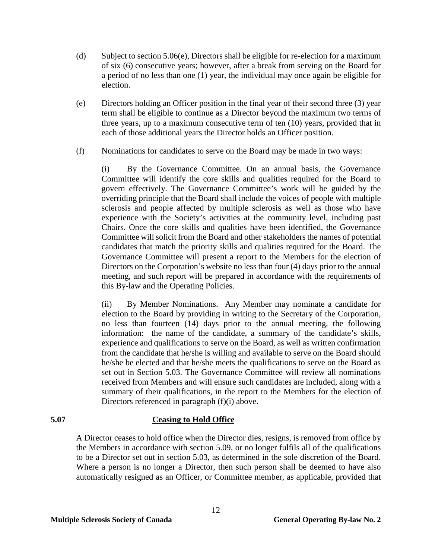- (d) Subject to section 5.06(e), Directors shall be eligible for re-election for a maximum of six (6) consecutive years; however, after a break from serving on the Board for a period of no less than one (1) year, the individual may once again be eligible for election.
- (e) Directors holding an Officer position in the final year of their second three (3) year term shall be eligible to continue as a Director beyond the maximum two terms of three years, up to a maximum consecutive term of ten (10) years, provided that in each of those additional years the Director holds an Officer position.
- (f) Nominations for candidates to serve on the Board may be made in two ways:

(i) By the Governance Committee. On an annual basis, the Governance Committee will identify the core skills and qualities required for the Board to govern effectively. The Governance Committee's work will be guided by the overriding principle that the Board shall include the voices of people with multiple sclerosis and people affected by multiple sclerosis as well as those who have experience with the Society's activities at the community level, including past Chairs. Once the core skills and qualities have been identified, the Governance Committee will solicit from the Board and other stakeholders the names of potential candidates that match the priority skills and qualities required for the Board. The Governance Committee will present a report to the Members for the election of Directors on the Corporation's website no less than four (4) days prior to the annual meeting, and such report will be prepared in accordance with the requirements of this By-law and the Operating Policies.

(ii) By Member Nominations. Any Member may nominate a candidate for election to the Board by providing in writing to the Secretary of the Corporation, no less than fourteen (14) days prior to the annual meeting, the following information: the name of the candidate, a summary of the candidate's skills, experience and qualifications to serve on the Board, as well as written confirmation from the candidate that he/she is willing and available to serve on the Board should he/she be elected and that he/she meets the qualifications to serve on the Board as set out in Section 5.03. The Governance Committee will review all nominations received from Members and will ensure such candidates are included, along with a summary of their qualifications, in the report to the Members for the election of Directors referenced in paragraph (f)(i) above.

### <span id="page-15-0"></span>**5.07 Ceasing to Hold Office**

A Director ceases to hold office when the Director dies, resigns, is removed from office by the Members in accordance with section 5.09, or no longer fulfils all of the qualifications to be a Director set out in section 5.03, as determined in the sole discretion of the Board. Where a person is no longer a Director, then such person shall be deemed to have also automatically resigned as an Officer, or Committee member, as applicable, provided that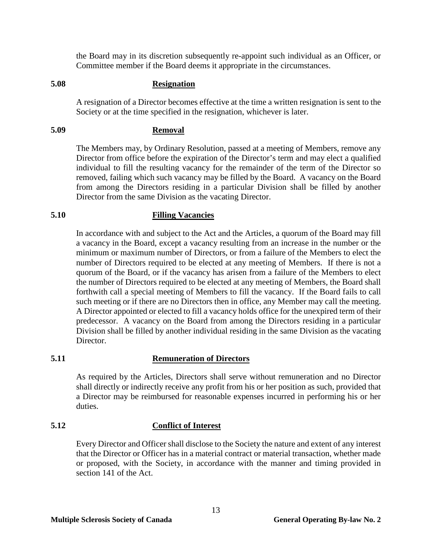the Board may in its discretion subsequently re-appoint such individual as an Officer, or Committee member if the Board deems it appropriate in the circumstances.

#### <span id="page-16-0"></span>**5.08 Resignation**

A resignation of a Director becomes effective at the time a written resignation is sent to the Society or at the time specified in the resignation, whichever is later.

# <span id="page-16-1"></span>**5.09 Removal**

The Members may, by Ordinary Resolution, passed at a meeting of Members, remove any Director from office before the expiration of the Director's term and may elect a qualified individual to fill the resulting vacancy for the remainder of the term of the Director so removed, failing which such vacancy may be filled by the Board. A vacancy on the Board from among the Directors residing in a particular Division shall be filled by another Director from the same Division as the vacating Director.

# <span id="page-16-2"></span>**5.10 Filling Vacancies**

In accordance with and subject to the Act and the Articles, a quorum of the Board may fill a vacancy in the Board, except a vacancy resulting from an increase in the number or the minimum or maximum number of Directors, or from a failure of the Members to elect the number of Directors required to be elected at any meeting of Members. If there is not a quorum of the Board, or if the vacancy has arisen from a failure of the Members to elect the number of Directors required to be elected at any meeting of Members, the Board shall forthwith call a special meeting of Members to fill the vacancy. If the Board fails to call such meeting or if there are no Directors then in office, any Member may call the meeting. A Director appointed or elected to fill a vacancy holds office for the unexpired term of their predecessor. A vacancy on the Board from among the Directors residing in a particular Division shall be filled by another individual residing in the same Division as the vacating Director.

## <span id="page-16-3"></span>**5.11 Remuneration of Directors**

As required by the Articles, Directors shall serve without remuneration and no Director shall directly or indirectly receive any profit from his or her position as such, provided that a Director may be reimbursed for reasonable expenses incurred in performing his or her duties.

### <span id="page-16-4"></span>**5.12 Conflict of Interest**

Every Director and Officer shall disclose to the Society the nature and extent of any interest that the Director or Officer has in a material contract or material transaction, whether made or proposed, with the Society, in accordance with the manner and timing provided in section 141 of the Act.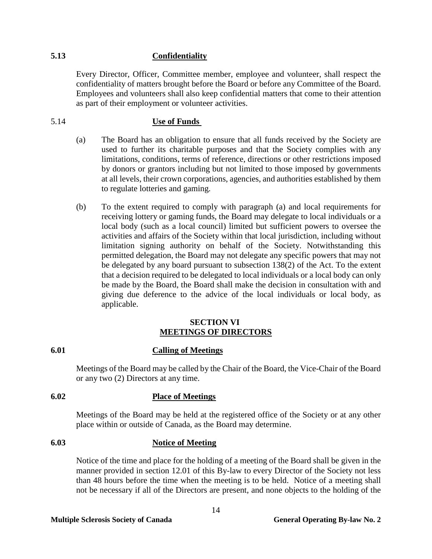# <span id="page-17-0"></span>**5.13 Confidentiality**

Every Director, Officer, Committee member, employee and volunteer, shall respect the confidentiality of matters brought before the Board or before any Committee of the Board. Employees and volunteers shall also keep confidential matters that come to their attention as part of their employment or volunteer activities.

# <span id="page-17-1"></span>5.14 **Use of Funds**

- (a) The Board has an obligation to ensure that all funds received by the Society are used to further its charitable purposes and that the Society complies with any limitations, conditions, terms of reference, directions or other restrictions imposed by donors or grantors including but not limited to those imposed by governments at all levels, their crown corporations, agencies, and authorities established by them to regulate lotteries and gaming.
- (b) To the extent required to comply with paragraph (a) and local requirements for receiving lottery or gaming funds, the Board may delegate to local individuals or a local body (such as a local council) limited but sufficient powers to oversee the activities and affairs of the Society within that local jurisdiction, including without limitation signing authority on behalf of the Society. Notwithstanding this permitted delegation, the Board may not delegate any specific powers that may not be delegated by any board pursuant to subsection 138(2) of the Act. To the extent that a decision required to be delegated to local individuals or a local body can only be made by the Board, the Board shall make the decision in consultation with and giving due deference to the advice of the local individuals or local body, as applicable.

# **SECTION VI MEETINGS OF DIRECTORS**

# <span id="page-17-3"></span><span id="page-17-2"></span>**6.01 Calling of Meetings**

Meetings of the Board may be called by the Chair of the Board, the Vice-Chair of the Board or any two (2) Directors at any time.

# <span id="page-17-4"></span>**6.02 Place of Meetings**

Meetings of the Board may be held at the registered office of the Society or at any other place within or outside of Canada, as the Board may determine.

# <span id="page-17-5"></span>**6.03 Notice of Meeting**

Notice of the time and place for the holding of a meeting of the Board shall be given in the manner provided in section [12.01](#page-25-2) of this By-law to every Director of the Society not less than 48 hours before the time when the meeting is to be held. Notice of a meeting shall not be necessary if all of the Directors are present, and none objects to the holding of the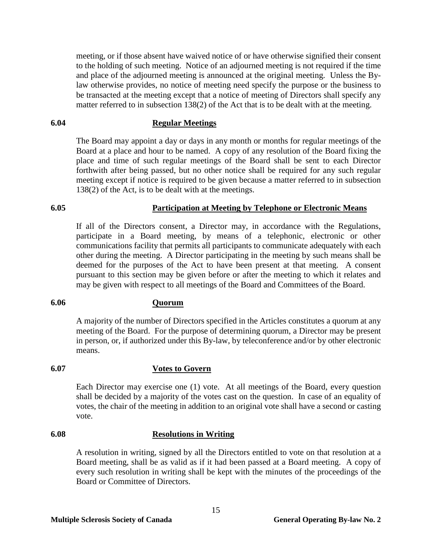meeting, or if those absent have waived notice of or have otherwise signified their consent to the holding of such meeting. Notice of an adjourned meeting is not required if the time and place of the adjourned meeting is announced at the original meeting. Unless the Bylaw otherwise provides, no notice of meeting need specify the purpose or the business to be transacted at the meeting except that a notice of meeting of Directors shall specify any matter referred to in subsection 138(2) of the Act that is to be dealt with at the meeting.

#### <span id="page-18-0"></span>**6.04 Regular Meetings**

The Board may appoint a day or days in any month or months for regular meetings of the Board at a place and hour to be named. A copy of any resolution of the Board fixing the place and time of such regular meetings of the Board shall be sent to each Director forthwith after being passed, but no other notice shall be required for any such regular meeting except if notice is required to be given because a matter referred to in subsection 138(2) of the Act, is to be dealt with at the meetings.

# <span id="page-18-1"></span>**6.05 Participation at Meeting by Telephone or Electronic Means**

If all of the Directors consent, a Director may, in accordance with the Regulations, participate in a Board meeting, by means of a telephonic, electronic or other communications facility that permits all participants to communicate adequately with each other during the meeting. A Director participating in the meeting by such means shall be deemed for the purposes of the Act to have been present at that meeting. A consent pursuant to this section may be given before or after the meeting to which it relates and may be given with respect to all meetings of the Board and Committees of the Board.

# <span id="page-18-2"></span>**6.06 Quorum**

A majority of the number of Directors specified in the Articles constitutes a quorum at any meeting of the Board. For the purpose of determining quorum, a Director may be present in person, or, if authorized under this By-law, by teleconference and/or by other electronic means.

### <span id="page-18-3"></span>**6.07 Votes to Govern**

Each Director may exercise one (1) vote. At all meetings of the Board, every question shall be decided by a majority of the votes cast on the question. In case of an equality of votes, the chair of the meeting in addition to an original vote shall have a second or casting vote.

#### <span id="page-18-4"></span>**6.08 Resolutions in Writing**

A resolution in writing, signed by all the Directors entitled to vote on that resolution at a Board meeting, shall be as valid as if it had been passed at a Board meeting. A copy of every such resolution in writing shall be kept with the minutes of the proceedings of the Board or Committee of Directors.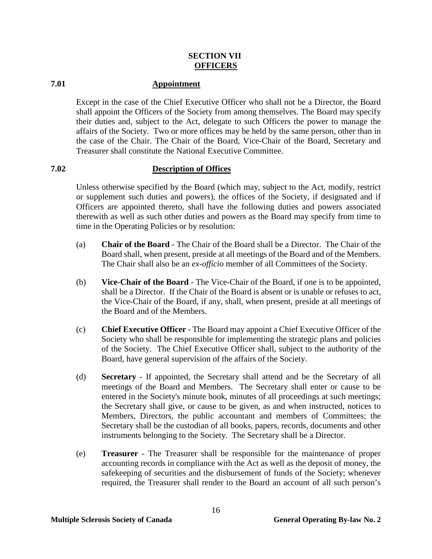# **SECTION VII OFFICERS**

# <span id="page-19-1"></span><span id="page-19-0"></span>**7.01 Appointment**

Except in the case of the Chief Executive Officer who shall not be a Director, the Board shall appoint the Officers of the Society from among themselves. The Board may specify their duties and, subject to the Act, delegate to such Officers the power to manage the affairs of the Society. Two or more offices may be held by the same person, other than in the case of the Chair. The Chair of the Board, Vice-Chair of the Board, Secretary and Treasurer shall constitute the National Executive Committee.

# <span id="page-19-2"></span>**7.02 Description of Offices**

Unless otherwise specified by the Board (which may, subject to the Act, modify, restrict or supplement such duties and powers), the offices of the Society, if designated and if Officers are appointed thereto, shall have the following duties and powers associated therewith as well as such other duties and powers as the Board may specify from time to time in the Operating Policies or by resolution:

- (a) **Chair of the Board** The Chair of the Board shall be a Director. The Chair of the Board shall, when present, preside at all meetings of the Board and of the Members. The Chair shall also be an *ex-officio* member of all Committees of the Society.
- (b) **Vice-Chair of the Board** The Vice-Chair of the Board, if one is to be appointed, shall be a Director. If the Chair of the Board is absent or is unable or refuses to act, the Vice-Chair of the Board, if any, shall, when present, preside at all meetings of the Board and of the Members.
- (c) **Chief Executive Officer** The Board may appoint a Chief Executive Officer of the Society who shall be responsible for implementing the strategic plans and policies of the Society. The Chief Executive Officer shall, subject to the authority of the Board, have general supervision of the affairs of the Society.
- (d) **Secretary** If appointed, the Secretary shall attend and be the Secretary of all meetings of the Board and Members. The Secretary shall enter or cause to be entered in the Society's minute book, minutes of all proceedings at such meetings; the Secretary shall give, or cause to be given, as and when instructed, notices to Members, Directors, the public accountant and members of Committees; the Secretary shall be the custodian of all books, papers, records, documents and other instruments belonging to the Society. The Secretary shall be a Director.
- (e) **Treasurer** The Treasurer shall be responsible for the maintenance of proper accounting records in compliance with the Act as well as the deposit of money, the safekeeping of securities and the disbursement of funds of the Society; whenever required, the Treasurer shall render to the Board an account of all such person's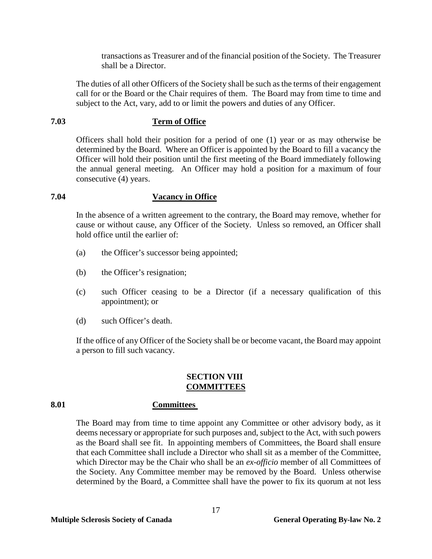transactions as Treasurer and of the financial position of the Society. The Treasurer shall be a Director.

The duties of all other Officers of the Society shall be such as the terms of their engagement call for or the Board or the Chair requires of them. The Board may from time to time and subject to the Act, vary, add to or limit the powers and duties of any Officer.

### <span id="page-20-0"></span>**7.03 Term of Office**

Officers shall hold their position for a period of one (1) year or as may otherwise be determined by the Board. Where an Officer is appointed by the Board to fill a vacancy the Officer will hold their position until the first meeting of the Board immediately following the annual general meeting. An Officer may hold a position for a maximum of four consecutive (4) years.

# <span id="page-20-1"></span>**7.04 Vacancy in Office**

In the absence of a written agreement to the contrary, the Board may remove, whether for cause or without cause, any Officer of the Society. Unless so removed, an Officer shall hold office until the earlier of:

- (a) the Officer's successor being appointed;
- (b) the Officer's resignation;
- (c) such Officer ceasing to be a Director (if a necessary qualification of this appointment); or
- (d) such Officer's death.

If the office of any Officer of the Society shall be or become vacant, the Board may appoint a person to fill such vacancy.

### **SECTION VIII COMMITTEES**

### <span id="page-20-3"></span><span id="page-20-2"></span>**8.01 Committees**

The Board may from time to time appoint any Committee or other advisory body, as it deems necessary or appropriate for such purposes and, subject to the Act, with such powers as the Board shall see fit. In appointing members of Committees, the Board shall ensure that each Committee shall include a Director who shall sit as a member of the Committee, which Director may be the Chair who shall be an *ex-officio* member of all Committees of the Society. Any Committee member may be removed by the Board. Unless otherwise determined by the Board, a Committee shall have the power to fix its quorum at not less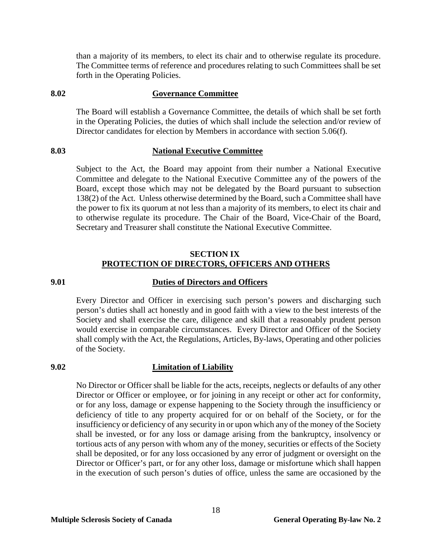than a majority of its members, to elect its chair and to otherwise regulate its procedure. The Committee terms of reference and procedures relating to such Committees shall be set forth in the Operating Policies.

# <span id="page-21-0"></span>**8.02 Governance Committee**

The Board will establish a Governance Committee, the details of which shall be set forth in the Operating Policies, the duties of which shall include the selection and/or review of Director candidates for election by Members in accordance with section 5.06(f).

# <span id="page-21-1"></span>**8.03 National Executive Committee**

Subject to the Act, the Board may appoint from their number a National Executive Committee and delegate to the National Executive Committee any of the powers of the Board, except those which may not be delegated by the Board pursuant to subsection 138(2) of the Act. Unless otherwise determined by the Board, such a Committee shall have the power to fix its quorum at not less than a majority of its members, to elect its chair and to otherwise regulate its procedure. The Chair of the Board, Vice-Chair of the Board, Secretary and Treasurer shall constitute the National Executive Committee.

# **SECTION IX PROTECTION OF DIRECTORS, OFFICERS AND OTHERS**

### <span id="page-21-3"></span><span id="page-21-2"></span>**9.01 Duties of Directors and Officers**

Every Director and Officer in exercising such person's powers and discharging such person's duties shall act honestly and in good faith with a view to the best interests of the Society and shall exercise the care, diligence and skill that a reasonably prudent person would exercise in comparable circumstances. Every Director and Officer of the Society shall comply with the Act, the Regulations, Articles, By-laws, Operating and other policies of the Society.

# <span id="page-21-4"></span>**9.02 Limitation of Liability**

No Director or Officer shall be liable for the acts, receipts, neglects or defaults of any other Director or Officer or employee, or for joining in any receipt or other act for conformity, or for any loss, damage or expense happening to the Society through the insufficiency or deficiency of title to any property acquired for or on behalf of the Society, or for the insufficiency or deficiency of any security in or upon which any of the money of the Society shall be invested, or for any loss or damage arising from the bankruptcy, insolvency or tortious acts of any person with whom any of the money, securities or effects of the Society shall be deposited, or for any loss occasioned by any error of judgment or oversight on the Director or Officer's part, or for any other loss, damage or misfortune which shall happen in the execution of such person's duties of office, unless the same are occasioned by the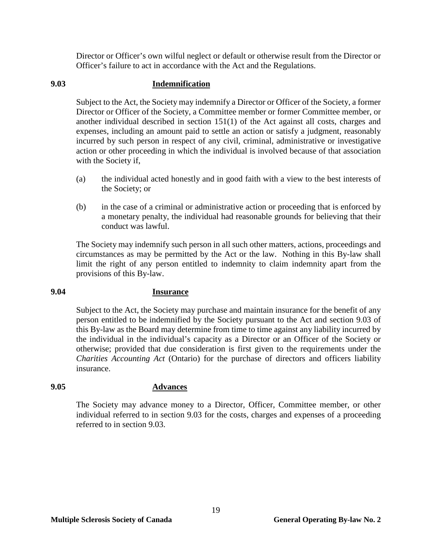Director or Officer's own wilful neglect or default or otherwise result from the Director or Officer's failure to act in accordance with the Act and the Regulations.

# <span id="page-22-0"></span>**9.03 Indemnification**

Subject to the Act, the Society may indemnify a Director or Officer of the Society, a former Director or Officer of the Society, a Committee member or former Committee member, or another individual described in section 151(1) of the Act against all costs, charges and expenses, including an amount paid to settle an action or satisfy a judgment, reasonably incurred by such person in respect of any civil, criminal, administrative or investigative action or other proceeding in which the individual is involved because of that association with the Society if,

- (a) the individual acted honestly and in good faith with a view to the best interests of the Society; or
- (b) in the case of a criminal or administrative action or proceeding that is enforced by a monetary penalty, the individual had reasonable grounds for believing that their conduct was lawful.

The Society may indemnify such person in all such other matters, actions, proceedings and circumstances as may be permitted by the Act or the law. Nothing in this By-law shall limit the right of any person entitled to indemnity to claim indemnity apart from the provisions of this By-law.

# <span id="page-22-1"></span>**9.04 Insurance**

Subject to the Act, the Society may purchase and maintain insurance for the benefit of any person entitled to be indemnified by the Society pursuant to the Act and section 9.03 of this By-law as the Board may determine from time to time against any liability incurred by the individual in the individual's capacity as a Director or an Officer of the Society or otherwise; provided that due consideration is first given to the requirements under the *Charities Accounting Act* (Ontario) for the purchase of directors and officers liability insurance.

# <span id="page-22-2"></span>**9.05 Advances**

The Society may advance money to a Director, Officer, Committee member, or other individual referred to in section [9.03](#page-22-0) for the costs, charges and expenses of a proceeding referred to in section 9.03.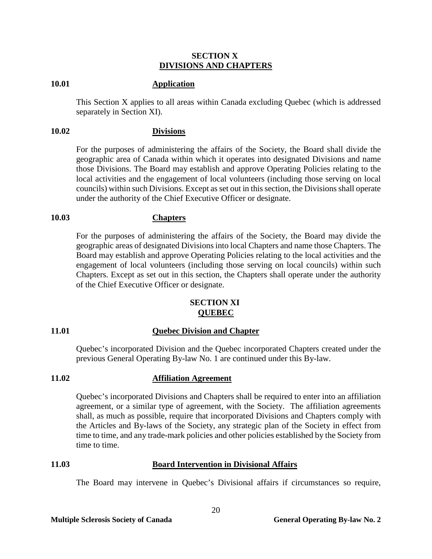#### **SECTION X DIVISIONS AND CHAPTERS**

#### <span id="page-23-1"></span><span id="page-23-0"></span>**10.01 Application**

This Section X applies to all areas within Canada excluding Quebec (which is addressed separately in Section XI).

#### <span id="page-23-2"></span>**10.02 Divisions**

For the purposes of administering the affairs of the Society, the Board shall divide the geographic area of Canada within which it operates into designated Divisions and name those Divisions. The Board may establish and approve Operating Policies relating to the local activities and the engagement of local volunteers (including those serving on local councils) within such Divisions. Except as set out in this section, the Divisions shall operate under the authority of the Chief Executive Officer or designate.

### <span id="page-23-3"></span>**10.03 Chapters**

For the purposes of administering the affairs of the Society, the Board may divide the geographic areas of designated Divisions into local Chapters and name those Chapters. The Board may establish and approve Operating Policies relating to the local activities and the engagement of local volunteers (including those serving on local councils) within such Chapters. Except as set out in this section, the Chapters shall operate under the authority of the Chief Executive Officer or designate.

#### **SECTION XI QUEBEC**

#### <span id="page-23-5"></span><span id="page-23-4"></span>**11.01 Quebec Division and Chapter**

Quebec's incorporated Division and the Quebec incorporated Chapters created under the previous General Operating By-law No. 1 are continued under this By-law.

#### **11.02 Affiliation Agreement**

Quebec's incorporated Divisions and Chapters shall be required to enter into an affiliation agreement, or a similar type of agreement, with the Society. The affiliation agreements shall, as much as possible, require that incorporated Divisions and Chapters comply with the Articles and By-laws of the Society, any strategic plan of the Society in effect from time to time, and any trade-mark policies and other policies established by the Society from time to time.

#### <span id="page-23-6"></span>**11.03 Board Intervention in Divisional Affairs**

The Board may intervene in Quebec's Divisional affairs if circumstances so require,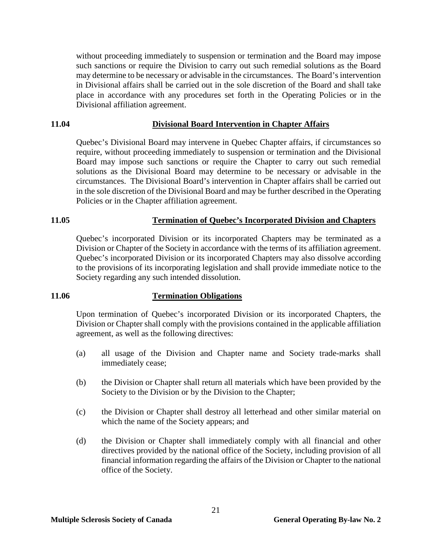without proceeding immediately to suspension or termination and the Board may impose such sanctions or require the Division to carry out such remedial solutions as the Board may determine to be necessary or advisable in the circumstances. The Board's intervention in Divisional affairs shall be carried out in the sole discretion of the Board and shall take place in accordance with any procedures set forth in the Operating Policies or in the Divisional affiliation agreement.

#### <span id="page-24-0"></span>**11.04 Divisional Board Intervention in Chapter Affairs**

Quebec's Divisional Board may intervene in Quebec Chapter affairs, if circumstances so require, without proceeding immediately to suspension or termination and the Divisional Board may impose such sanctions or require the Chapter to carry out such remedial solutions as the Divisional Board may determine to be necessary or advisable in the circumstances. The Divisional Board's intervention in Chapter affairs shall be carried out in the sole discretion of the Divisional Board and may be further described in the Operating Policies or in the Chapter affiliation agreement.

# <span id="page-24-1"></span>**11.05 Termination of Quebec's Incorporated Division and Chapters**

Quebec's incorporated Division or its incorporated Chapters may be terminated as a Division or Chapter of the Society in accordance with the terms of its affiliation agreement. Quebec's incorporated Division or its incorporated Chapters may also dissolve according to the provisions of its incorporating legislation and shall provide immediate notice to the Society regarding any such intended dissolution.

### <span id="page-24-2"></span>**11.06 Termination Obligations**

Upon termination of Quebec's incorporated Division or its incorporated Chapters, the Division or Chapter shall comply with the provisions contained in the applicable affiliation agreement, as well as the following directives:

- (a) all usage of the Division and Chapter name and Society trade-marks shall immediately cease;
- (b) the Division or Chapter shall return all materials which have been provided by the Society to the Division or by the Division to the Chapter;
- (c) the Division or Chapter shall destroy all letterhead and other similar material on which the name of the Society appears; and
- (d) the Division or Chapter shall immediately comply with all financial and other directives provided by the national office of the Society, including provision of all financial information regarding the affairs of the Division or Chapter to the national office of the Society.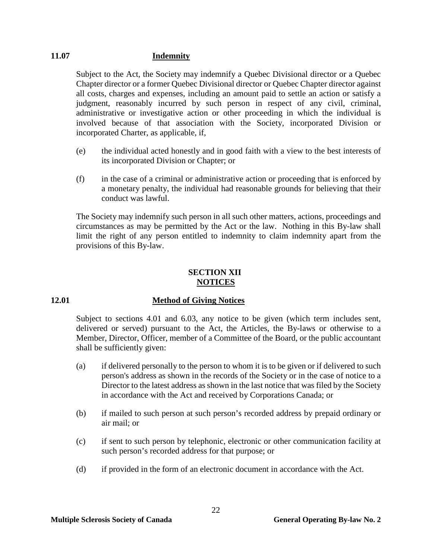# <span id="page-25-0"></span>**11.07 Indemnity**

Subject to the Act, the Society may indemnify a Quebec Divisional director or a Quebec Chapter director or a former Quebec Divisional director or Quebec Chapter director against all costs, charges and expenses, including an amount paid to settle an action or satisfy a judgment, reasonably incurred by such person in respect of any civil, criminal, administrative or investigative action or other proceeding in which the individual is involved because of that association with the Society, incorporated Division or incorporated Charter, as applicable, if,

- (e) the individual acted honestly and in good faith with a view to the best interests of its incorporated Division or Chapter; or
- (f) in the case of a criminal or administrative action or proceeding that is enforced by a monetary penalty, the individual had reasonable grounds for believing that their conduct was lawful.

The Society may indemnify such person in all such other matters, actions, proceedings and circumstances as may be permitted by the Act or the law. Nothing in this By-law shall limit the right of any person entitled to indemnity to claim indemnity apart from the provisions of this By-law.

# **SECTION XII NOTICES**

# <span id="page-25-2"></span><span id="page-25-1"></span>**12.01 Method of Giving Notices**

Subject to sections [4.01](#page-9-2) and [6.03,](#page-17-5) any notice to be given (which term includes sent, delivered or served) pursuant to the Act, the Articles, the By-laws or otherwise to a Member, Director, Officer, member of a Committee of the Board, or the public accountant shall be sufficiently given:

- (a) if delivered personally to the person to whom it is to be given or if delivered to such person's address as shown in the records of the Society or in the case of notice to a Director to the latest address as shown in the last notice that was filed by the Society in accordance with the Act and received by Corporations Canada; or
- (b) if mailed to such person at such person's recorded address by prepaid ordinary or air mail; or
- (c) if sent to such person by telephonic, electronic or other communication facility at such person's recorded address for that purpose; or
- (d) if provided in the form of an electronic document in accordance with the Act.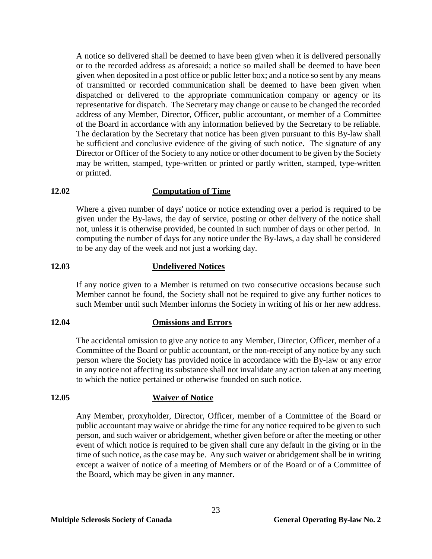A notice so delivered shall be deemed to have been given when it is delivered personally or to the recorded address as aforesaid; a notice so mailed shall be deemed to have been given when deposited in a post office or public letter box; and a notice so sent by any means of transmitted or recorded communication shall be deemed to have been given when dispatched or delivered to the appropriate communication company or agency or its representative for dispatch. The Secretary may change or cause to be changed the recorded address of any Member, Director, Officer, public accountant, or member of a Committee of the Board in accordance with any information believed by the Secretary to be reliable. The declaration by the Secretary that notice has been given pursuant to this By-law shall be sufficient and conclusive evidence of the giving of such notice. The signature of any Director or Officer of the Society to any notice or other document to be given by the Society may be written, stamped, type-written or printed or partly written, stamped, type-written or printed.

#### <span id="page-26-0"></span>**12.02 Computation of Time**

Where a given number of days' notice or notice extending over a period is required to be given under the By-laws, the day of service, posting or other delivery of the notice shall not, unless it is otherwise provided, be counted in such number of days or other period. In computing the number of days for any notice under the By-laws, a day shall be considered to be any day of the week and not just a working day.

#### <span id="page-26-1"></span>**12.03 Undelivered Notices**

If any notice given to a Member is returned on two consecutive occasions because such Member cannot be found, the Society shall not be required to give any further notices to such Member until such Member informs the Society in writing of his or her new address.

# <span id="page-26-2"></span>**12.04 Omissions and Errors**

The accidental omission to give any notice to any Member, Director, Officer, member of a Committee of the Board or public accountant, or the non-receipt of any notice by any such person where the Society has provided notice in accordance with the By-law or any error in any notice not affecting its substance shall not invalidate any action taken at any meeting to which the notice pertained or otherwise founded on such notice.

#### <span id="page-26-3"></span>**12.05 Waiver of Notice**

Any Member, proxyholder, Director, Officer, member of a Committee of the Board or public accountant may waive or abridge the time for any notice required to be given to such person, and such waiver or abridgement, whether given before or after the meeting or other event of which notice is required to be given shall cure any default in the giving or in the time of such notice, as the case may be. Any such waiver or abridgement shall be in writing except a waiver of notice of a meeting of Members or of the Board or of a Committee of the Board, which may be given in any manner.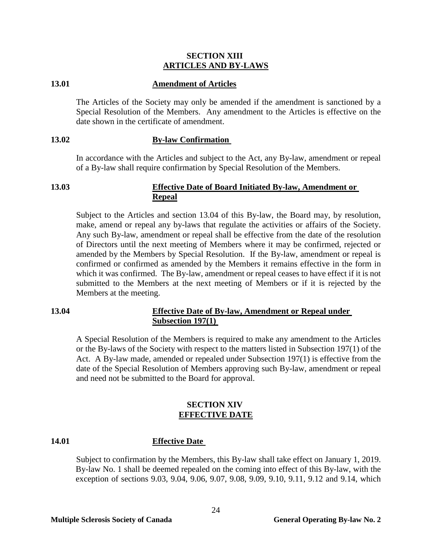#### **SECTION XIII ARTICLES AND BY-LAWS**

#### <span id="page-27-1"></span><span id="page-27-0"></span>**13.01 Amendment of Articles**

The Articles of the Society may only be amended if the amendment is sanctioned by a Special Resolution of the Members. Any amendment to the Articles is effective on the date shown in the certificate of amendment.

### <span id="page-27-2"></span>**13.02 By-law Confirmation**

In accordance with the Articles and subject to the Act, any By-law, amendment or repeal of a By-law shall require confirmation by Special Resolution of the Members.

### <span id="page-27-3"></span>**13.03 Effective Date of Board Initiated By-law, Amendment or Repeal**

Subject to the Articles and section 13.04 of this By-law, the Board may, by resolution, make, amend or repeal any by-laws that regulate the activities or affairs of the Society. Any such By-law, amendment or repeal shall be effective from the date of the resolution of Directors until the next meeting of Members where it may be confirmed, rejected or amended by the Members by Special Resolution. If the By-law, amendment or repeal is confirmed or confirmed as amended by the Members it remains effective in the form in which it was confirmed. The By-law, amendment or repeal ceases to have effect if it is not submitted to the Members at the next meeting of Members or if it is rejected by the Members at the meeting.

# <span id="page-27-4"></span>**13.04 Effective Date of By-law, Amendment or Repeal under Subsection 197(1)**

A Special Resolution of the Members is required to make any amendment to the Articles or the By-laws of the Society with respect to the matters listed in Subsection 197(1) of the Act. A By-law made, amended or repealed under Subsection 197(1) is effective from the date of the Special Resolution of Members approving such By-law, amendment or repeal and need not be submitted to the Board for approval.

#### **SECTION XIV EFFECTIVE DATE**

### <span id="page-27-6"></span><span id="page-27-5"></span>**14.01 Effective Date**

Subject to confirmation by the Members, this By-law shall take effect on January 1, 2019. By-law No. 1 shall be deemed repealed on the coming into effect of this By-law, with the exception of sections 9.03, 9.04, 9.06, 9.07, 9.08, 9.09, 9.10, 9.11, 9.12 and 9.14, which